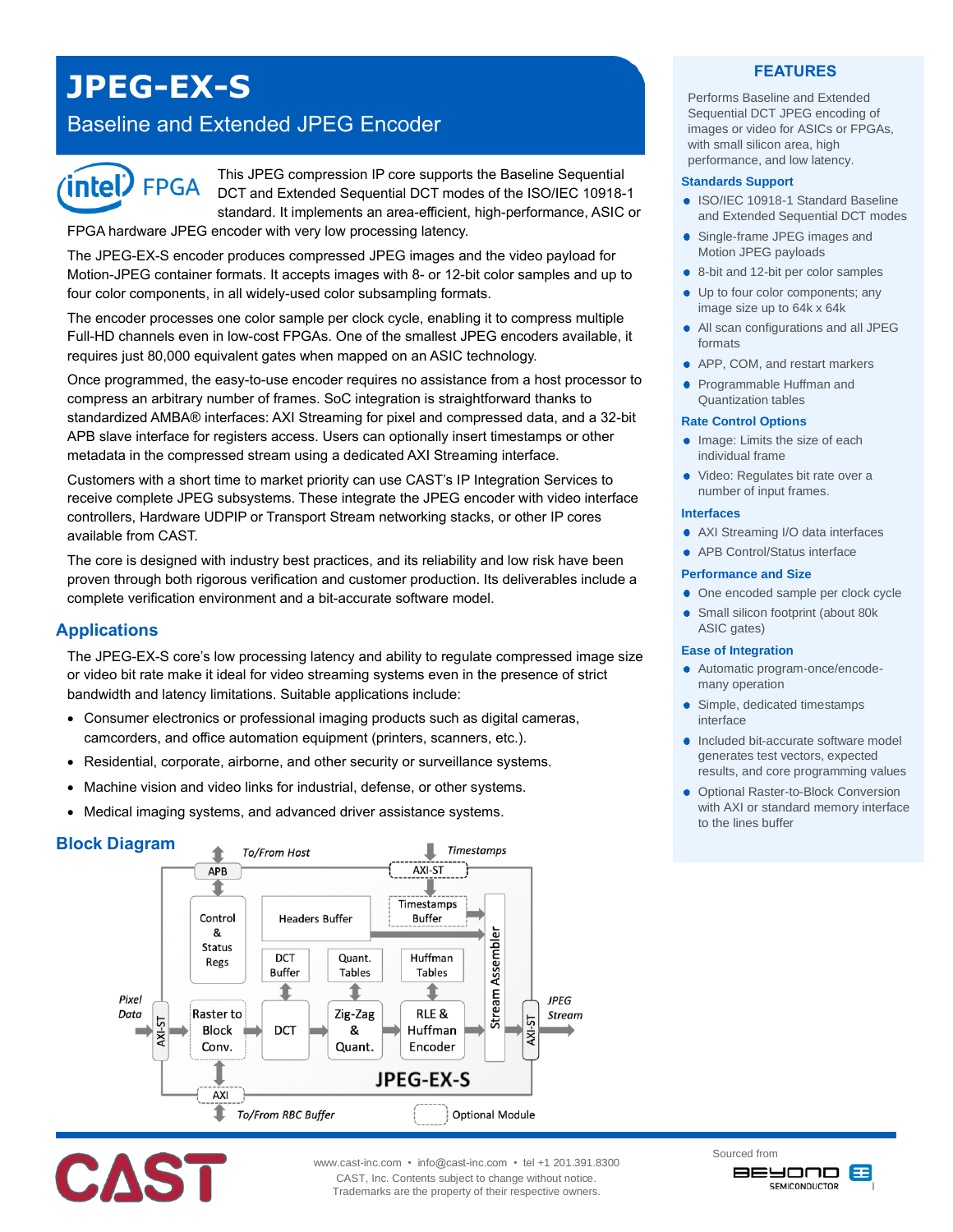# **JPEG-EX-S**

## Baseline and Extended JPEG Encoder



This JPEG compression IP core supports the Baseline Sequential DCT and Extended Sequential DCT modes of the ISO/IEC 10918-1 standard. It implements an area-efficient, high-performance, ASIC or

FPGA hardware JPEG encoder with very low processing latency.

The JPEG-EX-S encoder produces compressed JPEG images and the video payload for Motion-JPEG container formats. It accepts images with 8- or 12-bit color samples and up to four color components, in all widely-used color subsampling formats.

The encoder processes one color sample per clock cycle, enabling it to compress multiple Full-HD channels even in low-cost FPGAs. One of the smallest JPEG encoders available, it requires just 80,000 equivalent gates when mapped on an ASIC technology.

Once programmed, the easy-to-use encoder requires no assistance from a host processor to compress an arbitrary number of frames. SoC integration is straightforward thanks to standardized AMBA® interfaces: AXI Streaming for pixel and compressed data, and a 32-bit APB slave interface for registers access. Users can optionally insert timestamps or other metadata in the compressed stream using a dedicated AXI Streaming interface.

Customers with a short time to market priority can use CAST's IP Integration Services to receive complete JPEG subsystems. These integrate the JPEG encoder with video interface controllers, Hardware UDPIP or Transport Stream networking stacks, or other IP cores available from CAST.

The core is designed with industry best practices, and its reliability and low risk have been proven through both rigorous verification and customer production. Its deliverables include a complete verification environment and a bit-accurate software model.

## **Applications**

The JPEG-EX-S core's low processing latency and ability to regulate compressed image size or video bit rate make it ideal for video streaming systems even in the presence of strict bandwidth and latency limitations. Suitable applications include:

- Consumer electronics or professional imaging products such as digital cameras, camcorders, and office automation equipment (printers, scanners, etc.).
- Residential, corporate, airborne, and other security or surveillance systems.
- Machine vision and video links for industrial, defense, or other systems.
- Medical imaging systems, and advanced driver assistance systems.

## **Block Diagram**





www.cast-inc.com • info@cast-inc.com • tel +1 201.391.8300 CAST, Inc. Contents subject to change without notice. Trademarks are the property of their respective owners.

## **FEATURES**

Performs Baseline and Extended Sequential DCT JPEG encoding of images or video for ASICs or FPGAs, with small silicon area, high performance, and low latency.

#### **Standards Support**

- ISO/IEC 10918-1 Standard Baseline and Extended Sequential DCT modes
- Single-frame JPEG images and Motion JPEG payloads
- 8-bit and 12-bit per color samples
- Up to four color components; any ٠ image size up to 64k x 64k
- All scan configurations and all JPEG ٠ formats
- APP, COM, and restart markers
- Programmable Huffman and Quantization tables

#### **Rate Control Options**

- Image: Limits the size of each individual frame
- Video: Regulates bit rate over a number of input frames.

#### **Interfaces**

- AXI Streaming I/O data interfaces
- APB Control/Status interface

#### **Performance and Size**

- One encoded sample per clock cycle
- $\bullet$ Small silicon footprint (about 80k ASIC gates)

#### **Ease of Integration**

- Automatic program-once/encodemany operation
- Simple, dedicated timestamps interface
- Included bit-accurate software model generates test vectors, expected results, and core programming values
- **Optional Raster-to-Block Conversion** with AXI or standard memory interface to the lines buffer